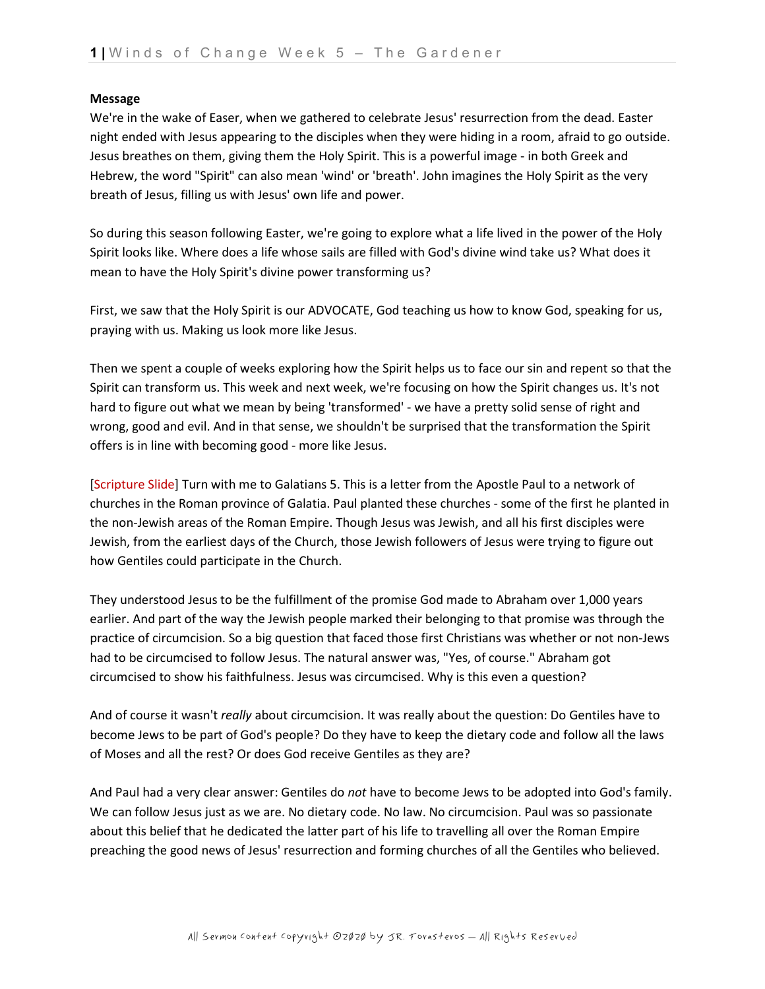## **Message**

We're in the wake of Easer, when we gathered to celebrate Jesus' resurrection from the dead. Easter night ended with Jesus appearing to the disciples when they were hiding in a room, afraid to go outside. Jesus breathes on them, giving them the Holy Spirit. This is a powerful image - in both Greek and Hebrew, the word "Spirit" can also mean 'wind' or 'breath'. John imagines the Holy Spirit as the very breath of Jesus, filling us with Jesus' own life and power.

So during this season following Easter, we're going to explore what a life lived in the power of the Holy Spirit looks like. Where does a life whose sails are filled with God's divine wind take us? What does it mean to have the Holy Spirit's divine power transforming us?

First, we saw that the Holy Spirit is our ADVOCATE, God teaching us how to know God, speaking for us, praying with us. Making us look more like Jesus.

Then we spent a couple of weeks exploring how the Spirit helps us to face our sin and repent so that the Spirit can transform us. This week and next week, we're focusing on how the Spirit changes us. It's not hard to figure out what we mean by being 'transformed' - we have a pretty solid sense of right and wrong, good and evil. And in that sense, we shouldn't be surprised that the transformation the Spirit offers is in line with becoming good - more like Jesus.

[Scripture Slide] Turn with me to Galatians 5. This is a letter from the Apostle Paul to a network of churches in the Roman province of Galatia. Paul planted these churches - some of the first he planted in the non-Jewish areas of the Roman Empire. Though Jesus was Jewish, and all his first disciples were Jewish, from the earliest days of the Church, those Jewish followers of Jesus were trying to figure out how Gentiles could participate in the Church.

They understood Jesus to be the fulfillment of the promise God made to Abraham over 1,000 years earlier. And part of the way the Jewish people marked their belonging to that promise was through the practice of circumcision. So a big question that faced those first Christians was whether or not non-Jews had to be circumcised to follow Jesus. The natural answer was, "Yes, of course." Abraham got circumcised to show his faithfulness. Jesus was circumcised. Why is this even a question?

And of course it wasn't *really* about circumcision. It was really about the question: Do Gentiles have to become Jews to be part of God's people? Do they have to keep the dietary code and follow all the laws of Moses and all the rest? Or does God receive Gentiles as they are?

And Paul had a very clear answer: Gentiles do *not* have to become Jews to be adopted into God's family. We can follow Jesus just as we are. No dietary code. No law. No circumcision. Paul was so passionate about this belief that he dedicated the latter part of his life to travelling all over the Roman Empire preaching the good news of Jesus' resurrection and forming churches of all the Gentiles who believed.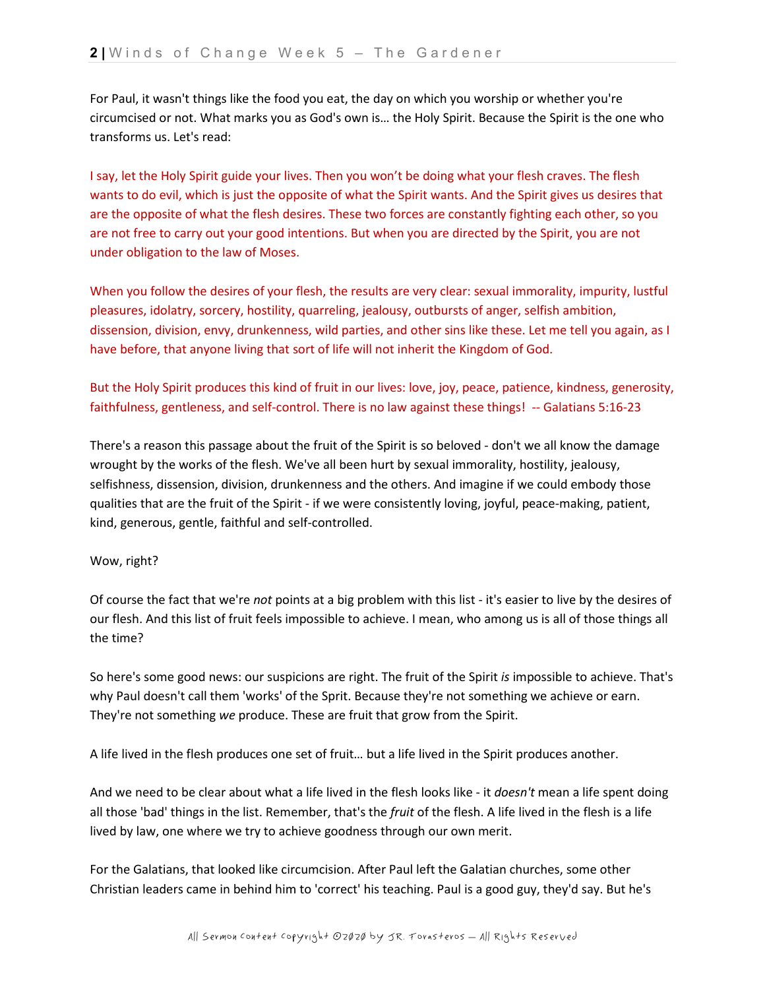For Paul, it wasn't things like the food you eat, the day on which you worship or whether you're circumcised or not. What marks you as God's own is… the Holy Spirit. Because the Spirit is the one who transforms us. Let's read:

I say, let the Holy Spirit guide your lives. Then you won't be doing what your flesh craves. The flesh wants to do evil, which is just the opposite of what the Spirit wants. And the Spirit gives us desires that are the opposite of what the flesh desires. These two forces are constantly fighting each other, so you are not free to carry out your good intentions. But when you are directed by the Spirit, you are not under obligation to the law of Moses.

When you follow the desires of your flesh, the results are very clear: sexual immorality, impurity, lustful pleasures, idolatry, sorcery, hostility, quarreling, jealousy, outbursts of anger, selfish ambition, dissension, division, envy, drunkenness, wild parties, and other sins like these. Let me tell you again, as I have before, that anyone living that sort of life will not inherit the Kingdom of God.

But the Holy Spirit produces this kind of fruit in our lives: love, joy, peace, patience, kindness, generosity, faithfulness, gentleness, and self-control. There is no law against these things! -- Galatians 5:16-23

There's a reason this passage about the fruit of the Spirit is so beloved - don't we all know the damage wrought by the works of the flesh. We've all been hurt by sexual immorality, hostility, jealousy, selfishness, dissension, division, drunkenness and the others. And imagine if we could embody those qualities that are the fruit of the Spirit - if we were consistently loving, joyful, peace-making, patient, kind, generous, gentle, faithful and self-controlled.

## Wow, right?

Of course the fact that we're *not* points at a big problem with this list - it's easier to live by the desires of our flesh. And this list of fruit feels impossible to achieve. I mean, who among us is all of those things all the time?

So here's some good news: our suspicions are right. The fruit of the Spirit *is* impossible to achieve. That's why Paul doesn't call them 'works' of the Sprit. Because they're not something we achieve or earn. They're not something *we* produce. These are fruit that grow from the Spirit.

A life lived in the flesh produces one set of fruit… but a life lived in the Spirit produces another.

And we need to be clear about what a life lived in the flesh looks like - it *doesn't* mean a life spent doing all those 'bad' things in the list. Remember, that's the *fruit* of the flesh. A life lived in the flesh is a life lived by law, one where we try to achieve goodness through our own merit.

For the Galatians, that looked like circumcision. After Paul left the Galatian churches, some other Christian leaders came in behind him to 'correct' his teaching. Paul is a good guy, they'd say. But he's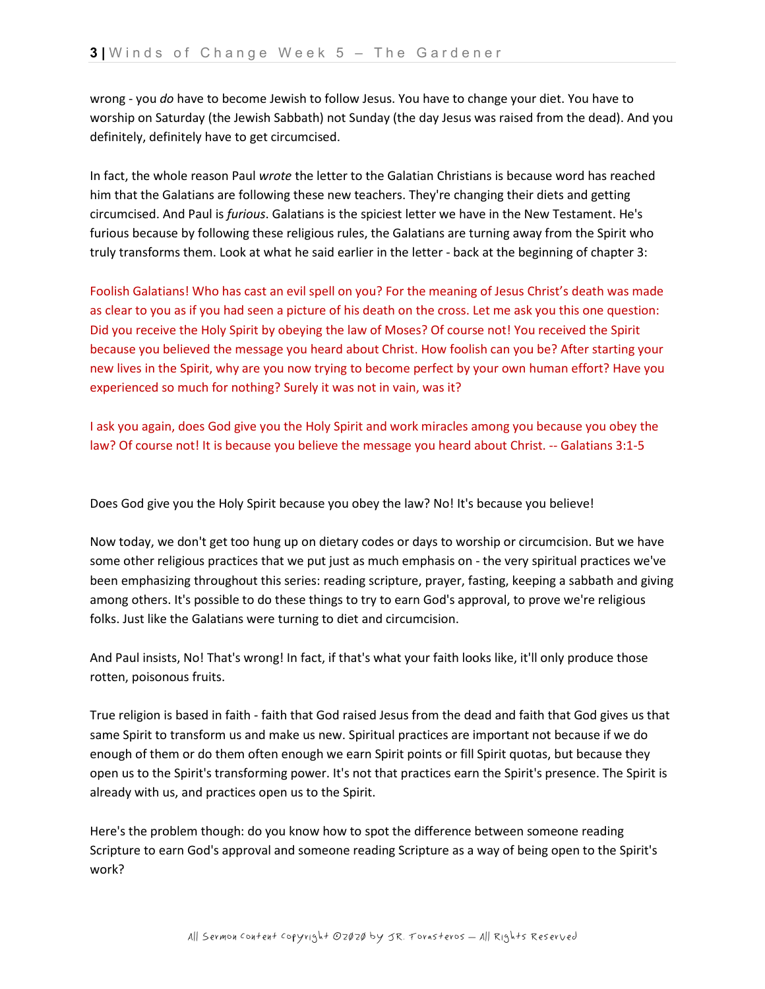wrong - you *do* have to become Jewish to follow Jesus. You have to change your diet. You have to worship on Saturday (the Jewish Sabbath) not Sunday (the day Jesus was raised from the dead). And you definitely, definitely have to get circumcised.

In fact, the whole reason Paul *wrote* the letter to the Galatian Christians is because word has reached him that the Galatians are following these new teachers. They're changing their diets and getting circumcised. And Paul is *furious*. Galatians is the spiciest letter we have in the New Testament. He's furious because by following these religious rules, the Galatians are turning away from the Spirit who truly transforms them. Look at what he said earlier in the letter - back at the beginning of chapter 3:

Foolish Galatians! Who has cast an evil spell on you? For the meaning of Jesus Christ's death was made as clear to you as if you had seen a picture of his death on the cross. Let me ask you this one question: Did you receive the Holy Spirit by obeying the law of Moses? Of course not! You received the Spirit because you believed the message you heard about Christ. How foolish can you be? After starting your new lives in the Spirit, why are you now trying to become perfect by your own human effort? Have you experienced so much for nothing? Surely it was not in vain, was it?

I ask you again, does God give you the Holy Spirit and work miracles among you because you obey the law? Of course not! It is because you believe the message you heard about Christ. -- Galatians 3:1-5

Does God give you the Holy Spirit because you obey the law? No! It's because you believe!

Now today, we don't get too hung up on dietary codes or days to worship or circumcision. But we have some other religious practices that we put just as much emphasis on - the very spiritual practices we've been emphasizing throughout this series: reading scripture, prayer, fasting, keeping a sabbath and giving among others. It's possible to do these things to try to earn God's approval, to prove we're religious folks. Just like the Galatians were turning to diet and circumcision.

And Paul insists, No! That's wrong! In fact, if that's what your faith looks like, it'll only produce those rotten, poisonous fruits.

True religion is based in faith - faith that God raised Jesus from the dead and faith that God gives us that same Spirit to transform us and make us new. Spiritual practices are important not because if we do enough of them or do them often enough we earn Spirit points or fill Spirit quotas, but because they open us to the Spirit's transforming power. It's not that practices earn the Spirit's presence. The Spirit is already with us, and practices open us to the Spirit.

Here's the problem though: do you know how to spot the difference between someone reading Scripture to earn God's approval and someone reading Scripture as a way of being open to the Spirit's work?